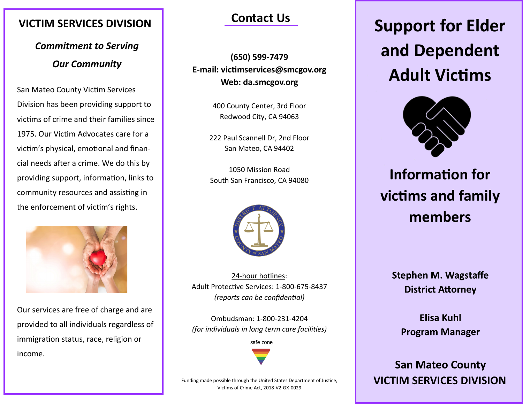### **VICTIM SERVICES DIVISION**

*Commitment to Serving Our Community* 

San Mateo County Victim Services Division has been providing support to victims of crime and their families since 1975. Our Victim Advocates care for a victim's physical, emotional and financial needs after a crime. We do this by providing support, information, links to community resources and assisting in the enforcement of victim's rights.



Our services are free of charge and are provided to all individuals regardless of immigration status, race, religion or income.

### **Contact Us**

**(650) 599-7479 E-mail: victimservices@smcgov.org Web: da.smcgov.org** 

> 400 County Center, 3rd Floor Redwood City, CA 94063

222 Paul Scannell Dr, 2nd Floor San Mateo, CA 94402

1050 Mission Road South San Francisco, CA 94080



24-hour hotlines: Adult Protective Services: 1-800-675-8437 *(reports can be confidential)*

Ombudsman: 1-800-231-4204 *(for individuals in long term care facilities)*

safe zone

**Support for Elder and Dependent Adult Victims** 



# **Information for victims and family members**

**Stephen M. Wagstaffe District Attorney** 

**Elisa Kuhl Program Manager** 

**San Mateo County VICTIM SERVICES DIVISION** 

Funding made possible through the United States Department of Justice, Victims of Crime Act, 2018-V2-GX-0029